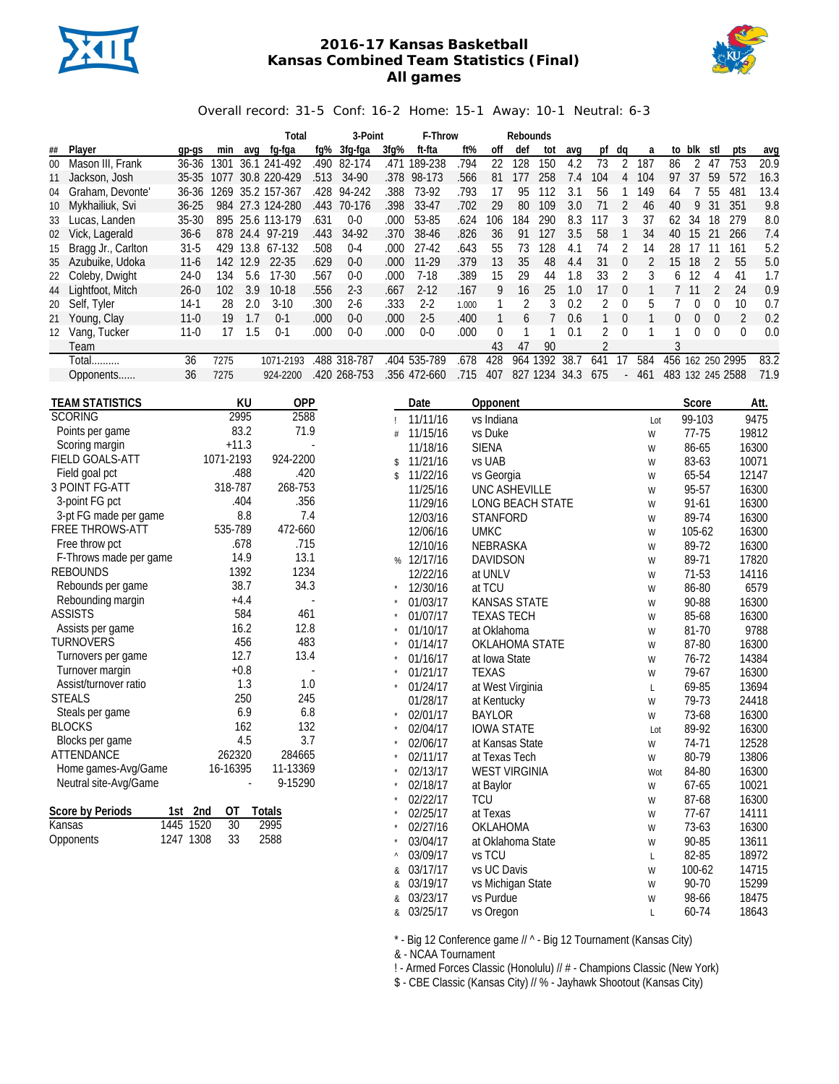

## **2016-17 Kansas Basketball Kansas Combined Team Statistics (Final) All games**



Overall record: 31-5 Conf: 16-2 Home: 15-1 Away: 10-1 Neutral: 6-3

|        |                        |           |           |          | Total                   |                          | 3-Point      |                    | F-Throw      |       |                         | Rebounds      |               |     |     |                          |                |                |                |                  |                  |       |
|--------|------------------------|-----------|-----------|----------|-------------------------|--------------------------|--------------|--------------------|--------------|-------|-------------------------|---------------|---------------|-----|-----|--------------------------|----------------|----------------|----------------|------------------|------------------|-------|
| ##     | Player                 | qp-qs     | min       | avq      | fg-fga                  | fq%                      | 3fg-fga      | 3fg%               | ft-fta       | ft%   | off                     | def           | tot           | avq | pf  | dq                       | a              | to             | blk            | stl              | pts              | avg   |
| $00\,$ | Mason III, Frank       | $36 - 36$ | 1301      |          | 36.1 241-492            | .490                     | 82-174       |                    | .471 189-238 | .794  | 22                      | 128           | 150           | 4.2 | 73  | 2                        | 187            | 86             | 2              | 47               | 753              | 20.9  |
| 11     | Jackson, Josh          | $35 - 35$ |           |          | 1077 30.8 220-429       | .513                     | 34-90        |                    | .378 98-173  | .566  | 81                      | 177           | 258           | 7.4 | 104 | 4                        | 104            | 97             | $37\,$         | 59               | 572              | 16.3  |
| 04     | Graham, Devonte'       |           |           |          | 36-36 1269 35.2 157-367 |                          | .428 94-242  | .388               | 73-92        | .793  | 17                      | 95            | 112           | 3.1 | 56  | 1                        | 149            | 64             | $\overline{7}$ | 55               | 481              | 13.4  |
| 10     | Mykhailiuk, Svi        | $36 - 25$ |           |          | 984 27.3 124-280        |                          | .443 70-176  | .398               | 33-47        | .702  | 29                      | 80            | 109           | 3.0 | 71  | $\overline{2}$           | 46             | 40             | 9              | 31               | 351              | 9.8   |
| 33     | Lucas, Landen          | $35 - 30$ |           |          | 895 25.6 113-179        | .631                     | $0-0$        | .000               | 53-85        | .624  | 106                     | 184           | 290           | 8.3 | 117 | 3                        | 37             | 62             | 34             | 18               | 279              | 8.0   |
| 02     | Vick, Lagerald         | $36 - 6$  |           |          | 878 24.4 97-219         | .443                     | 34-92        | .370               | 38-46        | .826  | 36                      | 91            | 127           | 3.5 | 58  | $\mathbf{1}$             | 34             | 40             | 15             | 21               | 266              | 7.4   |
| 15     | Bragg Jr., Carlton     | $31-5$    |           |          | 429 13.8 67-132         | .508                     | $0 - 4$      | .000               | $27 - 42$    | .643  | 55                      | 73            | 128           | 4.1 | 74  | 2                        | 14             | 28             | 17             | 11               | 161              | 5.2   |
| 35     | Azubuike, Udoka        | $11-6$    |           | 142 12.9 | 22-35                   | .629                     | $0-0$        | .000               | 11-29        | .379  | 13                      | 35            | 48            | 4.4 | 31  | $\boldsymbol{0}$         | $\overline{2}$ | 15             | 18             | 2                | 55               | 5.0   |
| 22     | Coleby, Dwight         | $24-0$    | 134       | 5.6      | 17-30                   | .567                     | $0 - 0$      | .000               | $7-18$       | .389  | 15                      | 29            | 44            | 1.8 | 33  | 2                        | 3              | 6              | 12             | 4                | 41               | 1.7   |
| 44     | Lightfoot, Mitch       | $26 - 0$  | 102       | 3.9      | $10-18$                 | .556                     | $2 - 3$      | .667               | $2 - 12$     | .167  | 9                       | 16            | 25            | 1.0 | 17  | $\boldsymbol{0}$         | $\mathbf{1}$   | $\overline{7}$ | 11             | $\overline{2}$   | 24               | 0.9   |
| 20     | Self, Tyler            | $14-1$    | 28        | 2.0      | $3-10$                  | .300                     | $2 - 6$      | .333               | $2-2$        | 1.000 | 1                       | 2             | 3             | 0.2 | 2   | $\mathbf 0$              | 5              | 7              | 0              | 0                | 10               | 0.7   |
|        | 21 Young, Clay         | $11-0$    | 19        | 1.7      | $0 - 1$                 | .000                     | $0 - 0$      | .000               | $2 - 5$      | .400  | 1                       | 6             | 7             | 0.6 | 1   | $\boldsymbol{0}$         | $\mathbf{1}$   | 0              | 0              | $\boldsymbol{0}$ | $\overline{2}$   | 0.2   |
|        | 12 Vang, Tucker        | $11-0$    | 17        | 1.5      | $0 - 1$                 | .000                     | $0 - 0$      | .000               | $0-0$        | .000  | $\pmb{0}$               | 1             | 1             | 0.1 | 2   | 0                        | 1              | 1              | 0              | $\mathbf 0$      | $\theta$         | 0.0   |
|        | Team                   |           |           |          |                         |                          |              |                    |              |       | 43                      | 47            | 90            |     | 2   |                          |                | 3              |                |                  |                  |       |
|        | <b>Total</b>           | 36        | 7275      |          | 1071-2193               |                          | .488 318-787 |                    | .404 535-789 | .678  | 428                     |               | 964 1392 38.7 |     | 641 | 17                       | 584            |                |                |                  | 456 162 250 2995 | 83.2  |
|        | Opponents              | 36        | 7275      |          | 924-2200                |                          | .420 268-753 |                    | .356 472-660 | .715  | 407                     | 827 1234 34.3 |               |     | 675 | $\overline{\phantom{a}}$ | 461            |                |                |                  | 483 132 245 2588 | 71.9  |
|        |                        |           |           |          |                         |                          |              |                    |              |       |                         |               |               |     |     |                          |                |                |                |                  |                  |       |
|        | <b>TEAM STATISTICS</b> |           |           | KU       | <b>OPP</b>              |                          |              |                    | Date         |       | Opponent                |               |               |     |     |                          |                |                | Score          |                  |                  | Att.  |
|        | <b>SCORING</b>         |           |           | 2995     | 2588                    |                          |              |                    | 11/11/16     |       | vs Indiana              |               |               |     |     |                          | Lot            |                | 99-103         |                  |                  | 9475  |
|        | Points per game        |           |           | 83.2     | 71.9                    |                          |              | #                  | 11/15/16     |       | vs Duke                 |               |               |     |     |                          | W              |                | 77-75          |                  |                  | 19812 |
|        | Scoring margin         |           |           | $+11.3$  |                         |                          |              |                    | 11/18/16     |       | <b>SIENA</b>            |               |               |     |     |                          | W              |                | 86-65          |                  |                  | 16300 |
|        | <b>FIELD GOALS-ATT</b> |           | 1071-2193 |          | 924-2200                |                          |              | \$                 | 11/21/16     |       | vs UAB                  |               |               |     |     |                          | W              |                | 83-63          |                  |                  | 10071 |
|        | Field goal pct         |           |           | .488     | .420                    |                          |              | $\mathbf{\hat{S}}$ | 11/22/16     |       | vs Georgia              |               |               |     |     |                          | W              |                | 65-54          |                  |                  | 12147 |
|        | 3 POINT FG-ATT         |           | 318-787   |          | 268-753                 |                          |              |                    | 11/25/16     |       | UNC ASHEVILLE           |               |               |     |     |                          | W              |                | 95-57          |                  |                  | 16300 |
|        | 3-point FG pct         |           |           | .404     | .356                    |                          |              |                    | 11/29/16     |       | <b>LONG BEACH STATE</b> |               |               |     |     |                          | W              |                | $91 - 61$      |                  |                  | 16300 |
|        | 3-pt FG made per game  |           |           | 8.8      | 7.4                     |                          |              |                    | 12/03/16     |       | <b>STANFORD</b>         |               |               |     |     |                          | W              |                | 89-74          |                  |                  | 16300 |
|        | <b>FREE THROWS-ATT</b> |           | 535-789   |          | 472-660                 |                          |              |                    | 12/06/16     |       | <b>UMKC</b>             |               |               |     |     |                          | W              |                | 105-62         |                  |                  | 16300 |
|        | Free throw pct         |           |           | .678     | .715                    |                          |              |                    | 12/10/16     |       | NEBRASKA                |               |               |     |     |                          | W              |                | 89-72          |                  |                  | 16300 |
|        | F-Throws made per game |           |           | 14.9     | 13.1                    |                          |              | %                  | 12/17/16     |       | <b>DAVIDSON</b>         |               |               |     |     |                          | W              |                | 89-71          |                  |                  | 17820 |
|        | <b>REBOUNDS</b>        |           |           | 1392     | 1234                    |                          |              |                    | 12/22/16     |       | at UNLV                 |               |               |     |     |                          | W              |                | 71-53          |                  |                  | 14116 |
|        | Rebounds per game      |           |           | 38.7     | 34.3                    |                          |              |                    | 12/30/16     |       | at TCU                  |               |               |     |     |                          | W              |                | 86-80          |                  |                  | 6579  |
|        | Rebounding margin      |           |           | $+4.4$   |                         |                          |              |                    | 01/03/17     |       | <b>KANSAS STATE</b>     |               |               |     |     |                          | W              |                | 90-88          |                  |                  | 16300 |
|        | <b>ASSISTS</b>         |           |           | 584      | 461                     |                          |              |                    | 01/07/17     |       | <b>TEXAS TECH</b>       |               |               |     |     |                          | W              |                | 85-68          |                  |                  | 16300 |
|        | Assists per game       |           |           | 16.2     | 12.8                    |                          |              |                    | 01/10/17     |       | at Oklahoma             |               |               |     |     |                          | W              |                | 81-70          |                  |                  | 9788  |
|        | <b>TURNOVERS</b>       |           |           | 456      | 483                     |                          |              |                    | 01/14/17     |       | <b>OKLAHOMA STATE</b>   |               |               |     |     |                          | W              |                | 87-80          |                  |                  | 16300 |
|        | Turnovers per game     |           |           | 12.7     | 13.4                    |                          |              |                    | 01/16/17     |       | at Iowa State           |               |               |     |     |                          | W              |                | 76-72          |                  |                  | 14384 |
|        | Turnover margin        |           |           | $+0.8$   |                         | $\overline{\phantom{a}}$ |              |                    | 01/21/17     |       | <b>TEXAS</b>            |               |               |     |     |                          | W              |                | 79-67          |                  |                  | 16300 |
|        | Assist/turnover ratio  |           |           | 1.3      |                         | 1.0                      |              |                    | 01/24/17     |       | at West Virginia        |               |               |     |     |                          | L              |                | 69-85          |                  |                  | 13694 |
|        | <b>STEALS</b>          |           |           | 250      | 245                     |                          |              |                    | 01/28/17     |       | at Kentucky             |               |               |     |     |                          | W              |                | 79-73          |                  |                  | 24418 |
|        | Steals per game        |           |           | 6.9      | 6.8                     |                          |              |                    | 02/01/17     |       | <b>BAYLOR</b>           |               |               |     |     |                          | W              |                | 73-68          |                  |                  | 16300 |
|        | <b>BLOCKS</b>          |           |           | 162      | 132                     |                          |              |                    | 02/04/17     |       | <b>IOWA STATE</b>       |               |               |     |     |                          | Lot            |                | 89-92          |                  |                  | 16300 |
|        | Blocks per game        |           |           | 4.5      |                         | 3.7                      |              |                    | 02/06/17     |       | at Kansas State         |               |               |     |     |                          | W              |                | 74-71          |                  |                  | 12528 |
|        | ATTENDANCE             |           | 262320    |          | 284665                  |                          |              |                    | 02/11/17     |       | at Texas Tech           |               |               |     |     |                          | W              |                | 80-79          |                  |                  | 13806 |
|        | Home games-Avg/Game    |           | 16-16395  |          | 11-13369                |                          |              |                    | 02/13/17     |       | <b>WEST VIRGINIA</b>    |               |               |     |     |                          | Wot            |                | 84-80          |                  |                  | 16300 |
|        | Neutral site-Avg/Game  |           |           |          | 9-15290                 |                          |              |                    | 02/18/17     |       | at Baylor               |               |               |     |     |                          | W              |                | 67-65          |                  |                  | 10021 |
|        |                        |           |           |          |                         |                          |              |                    | 02/22/17     |       | <b>TCU</b>              |               |               |     |     |                          | W              |                | 87-68          |                  |                  | 16300 |
|        | Score by Periods       | 1st 2nd   | <u>OT</u> |          | Totals                  |                          |              |                    | 02/25/17     |       | at Texas                |               |               |     |     |                          | W              |                | 77-67          |                  |                  | 14111 |
|        | Kansas                 | 1445 1520 | 30        |          | 2995                    |                          |              |                    | 02/27/16     |       | OKLAHOMA                |               |               |     |     |                          | W              |                | 73-63          |                  |                  | 16300 |
|        | Opponents              | 1247 1308 | 33        |          | 2588                    |                          |              |                    | 03/04/17     |       | at Oklahoma State       |               |               |     |     |                          | W              |                | 90-85          |                  |                  | 13611 |
|        |                        |           |           |          |                         |                          |              | Λ                  | 03/09/17     |       | vs TCU                  |               |               |     |     |                          | L              |                | 82-85          |                  |                  | 18972 |
|        |                        |           |           |          |                         |                          |              | &                  | 03/17/17     |       | vs UC Davis             |               |               |     |     |                          | W              |                | 100-62         |                  |                  | 14715 |
|        |                        |           |           |          |                         |                          |              | &                  | 03/19/17     |       | vs Michigan State       |               |               |     |     |                          | W              |                | 90-70          |                  |                  | 15299 |
|        |                        |           |           |          |                         |                          |              | &                  | 03/23/17     |       | vs Purdue               |               |               |     |     |                          | W              |                | 98-66          |                  |                  | 18475 |
|        |                        |           |           |          |                         |                          |              |                    | & 03/25/17   |       | vs Oregon               |               |               |     |     |                          | L              |                | 60-74          |                  |                  | 18643 |

\* - Big 12 Conference game // ^ - Big 12 Tournament (Kansas City)

& - NCAA Tournament

! - Armed Forces Classic (Honolulu) // # - Champions Classic (New York)

\$ - CBE Classic (Kansas City) // % - Jayhawk Shootout (Kansas City)